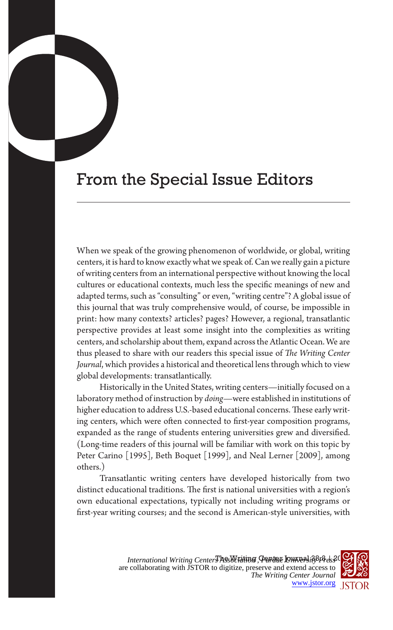## From the Special Issue Editors

When we speak of the growing phenomenon of worldwide, or global, writing centers, it is hard to know exactly what we speak of. Can we really gain a picture of writing centers from an international perspective without knowing the local cultures or educational contexts, much less the specific meanings of new and adapted terms, such as "consulting" or even, "writing centre"? A global issue of this journal that was truly comprehensive would, of course, be impossible in print: how many contexts? articles? pages? However, a regional, transatlantic perspective provides at least some insight into the complexities as writing centers, and scholarship about them, expand across the Atlantic Ocean. We are thus pleased to share with our readers this special issue of *The Writing Center Journal*, which provides a historical and theoretical lens through which to view global developments: transatlantically.

Historically in the United States, writing centers—initially focused on a laboratory method of instruction by *doing—*were established in institutions of higher education to address U.S.-based educational concerns. These early writing centers, which were often connected to first-year composition programs, expanded as the range of students entering universities grew and diversified. (Long-time readers of this journal will be familiar with work on this topic by Peter Carino [1995], Beth Boquet [1999], and Neal Lerner [2009], among others.)

Transatlantic writing centers have developed historically from two distinct educational traditions. The first is national universities with a region's own educational expectations, typically not including writing programs or first-year writing courses; and the second is American-style universities, with

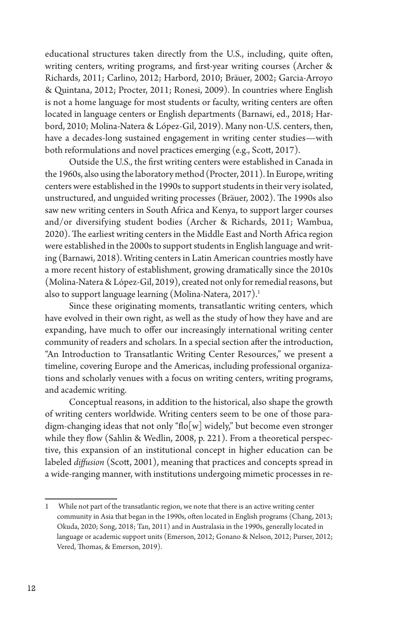educational structures taken directly from the U.S., including, quite often, writing centers, writing programs, and first-year writing courses (Archer & Richards, 2011; Carlino, 2012; Harbord, 2010; Bräuer, 2002; Garcia-Arroyo & Quintana, 2012; Procter, 2011; Ronesi, 2009). In countries where English is not a home language for most students or faculty, writing centers are often located in language centers or English departments (Barnawi, ed., 2018; Harbord, 2010; Molina-Natera & López-Gil, 2019). Many non-U.S. centers, then, have a decades-long sustained engagement in writing center studies—with both reformulations and novel practices emerging (e.g., Scott, 2017).

Outside the U.S., the first writing centers were established in Canada in the 1960s, also using the laboratory method (Procter, 2011). In Europe, writing centers were established in the 1990s to support students in their very isolated, unstructured, and unguided writing processes (Bräuer, 2002). The 1990s also saw new writing centers in South Africa and Kenya, to support larger courses and/or diversifying student bodies (Archer & Richards, 2011; Wambua, 2020). The earliest writing centers in the Middle East and North Africa region were established in the 2000s to support students in English language and writing (Barnawi, 2018). Writing centers in Latin American countries mostly have a more recent history of establishment, growing dramatically since the 2010s (Molina-Natera & López-Gil, 2019), created not only for remedial reasons, but also to support language learning (Molina-Natera, 2017).<sup>1</sup>

Since these originating moments, transatlantic writing centers, which have evolved in their own right, as well as the study of how they have and are expanding, have much to offer our increasingly international writing center community of readers and scholars. In a special section after the introduction, "An Introduction to Transatlantic Writing Center Resources," we present a timeline, covering Europe and the Americas, including professional organizations and scholarly venues with a focus on writing centers, writing programs, and academic writing.

Conceptual reasons, in addition to the historical, also shape the growth of writing centers worldwide. Writing centers seem to be one of those paradigm-changing ideas that not only "flo[w] widely," but become even stronger while they flow (Sahlin & Wedlin, 2008, p. 221). From a theoretical perspective, this expansion of an institutional concept in higher education can be labeled *diffusion* (Scott, 2001), meaning that practices and concepts spread in a wide-ranging manner, with institutions undergoing mimetic processes in re-

<sup>1</sup> While not part of the transatlantic region, we note that there is an active writing center community in Asia that began in the 1990s, often located in English programs (Chang, 2013; Okuda, 2020; Song, 2018; Tan, 2011) and in Australasia in the 1990s, generally located in language or academic support units (Emerson, 2012; Gonano & Nelson, 2012; Purser, 2012; Vered, Thomas, & Emerson, 2019).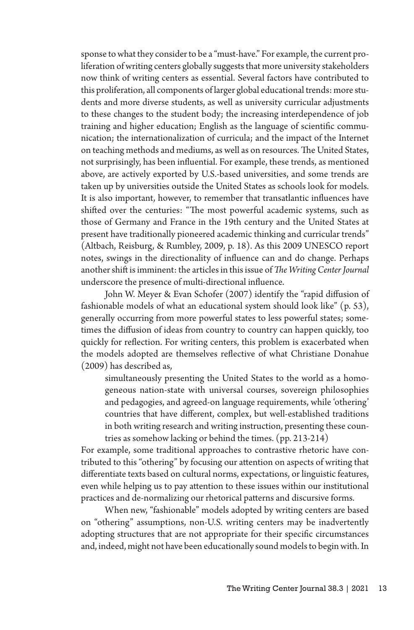sponse to what they consider to be a "must-have." For example, the current proliferation of writing centers globally suggests that more university stakeholders now think of writing centers as essential. Several factors have contributed to this proliferation, all components of larger global educational trends: more students and more diverse students, as well as university curricular adjustments to these changes to the student body; the increasing interdependence of job training and higher education; English as the language of scientific communication; the internationalization of curricula; and the impact of the Internet on teaching methods and mediums, as well as on resources. The United States, not surprisingly, has been influential. For example, these trends, as mentioned above, are actively exported by U.S.-based universities, and some trends are taken up by universities outside the United States as schools look for models. It is also important, however, to remember that transatlantic influences have shifted over the centuries: "The most powerful academic systems, such as those of Germany and France in the 19th century and the United States at present have traditionally pioneered academic thinking and curricular trends" (Altbach, Reisburg, & Rumbley, 2009, p. 18). As this 2009 UNESCO report notes, swings in the directionality of influence can and do change. Perhaps another shift is imminent: the articles in this issue of *The Writing Center Journal* underscore the presence of multi-directional influence.

John W. Meyer & Evan Schofer (2007) identify the "rapid diffusion of fashionable models of what an educational system should look like" (p. 53), generally occurring from more powerful states to less powerful states; sometimes the diffusion of ideas from country to country can happen quickly, too quickly for reflection. For writing centers, this problem is exacerbated when the models adopted are themselves reflective of what Christiane Donahue (2009) has described as,

simultaneously presenting the United States to the world as a homogeneous nation-state with universal courses, sovereign philosophies and pedagogies, and agreed-on language requirements, while 'othering' countries that have different, complex, but well-established traditions in both writing research and writing instruction, presenting these countries as somehow lacking or behind the times. (pp. 213-214)

For example, some traditional approaches to contrastive rhetoric have contributed to this "othering" by focusing our attention on aspects of writing that differentiate texts based on cultural norms, expectations, or linguistic features, even while helping us to pay attention to these issues within our institutional practices and de-normalizing our rhetorical patterns and discursive forms.

When new, "fashionable" models adopted by writing centers are based on "othering" assumptions, non-U.S. writing centers may be inadvertently adopting structures that are not appropriate for their specific circumstances and, indeed, might not have been educationally sound models to begin with. In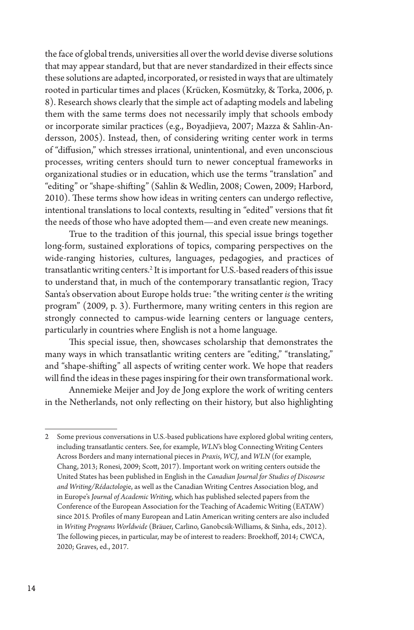the face of global trends, universities all over the world devise diverse solutions that may appear standard, but that are never standardized in their effects since these solutions are adapted, incorporated, or resisted in ways that are ultimately rooted in particular times and places (Krücken, Kosmützky, & Torka, 2006, p. 8). Research shows clearly that the simple act of adapting models and labeling them with the same terms does not necessarily imply that schools embody or incorporate similar practices (e.g., Boyadjieva, 2007; Mazza & Sahlin-Andersson, 2005). Instead, then, of considering writing center work in terms of "diffusion," which stresses irrational, unintentional, and even unconscious processes, writing centers should turn to newer conceptual frameworks in organizational studies or in education, which use the terms "translation" and "editing" or "shape-shifting" (Sahlin & Wedlin, 2008; Cowen, 2009; Harbord, 2010). These terms show how ideas in writing centers can undergo reflective, intentional translations to local contexts, resulting in "edited" versions that fit the needs of those who have adopted them—and even create new meanings.

True to the tradition of this journal, this special issue brings together long-form, sustained explorations of topics, comparing perspectives on the wide-ranging histories, cultures, languages, pedagogies, and practices of transatlantic writing centers.2 It is important for U.S.-based readers of this issue to understand that, in much of the contemporary transatlantic region, Tracy Santa's observation about Europe holds true: "the writing center *is* the writing program" (2009, p. 3). Furthermore, many writing centers in this region are strongly connected to campus-wide learning centers or language centers, particularly in countries where English is not a home language.

This special issue, then, showcases scholarship that demonstrates the many ways in which transatlantic writing centers are "editing," "translating," and "shape-shifting" all aspects of writing center work. We hope that readers will find the ideas in these pages inspiring for their own transformational work.

Annemieke Meijer and Joy de Jong explore the work of writing centers in the Netherlands, not only reflecting on their history, but also highlighting

<sup>2</sup> Some previous conversations in U.S.-based publications have explored global writing centers, including transatlantic centers. See, for example, *WLN*'s blog Connecting Writing Centers Across Borders and many international pieces in *Praxis*, *WCJ*, and *WLN* (for example, Chang, 2013; Ronesi, 2009; Scott, 2017). Important work on writing centers outside the United States has been published in English in the *Canadian Journal for Studies of Discourse and Writing/Rédactologi*e, as well as the Canadian Writing Centres Association blog, and in Europe's *Journal of Academic Writing*, which has published selected papers from the Conference of the European Association for the Teaching of Academic Writing (EATAW) since 2015*.* Profiles of many European and Latin American writing centers are also included in *Writing Programs Worldwide* (Bräuer, Carlino, Ganobcsik-Williams, & Sinha, eds., 2012). The following pieces, in particular, may be of interest to readers: Broekhoff, 2014; CWCA, 2020; Graves, ed., 2017.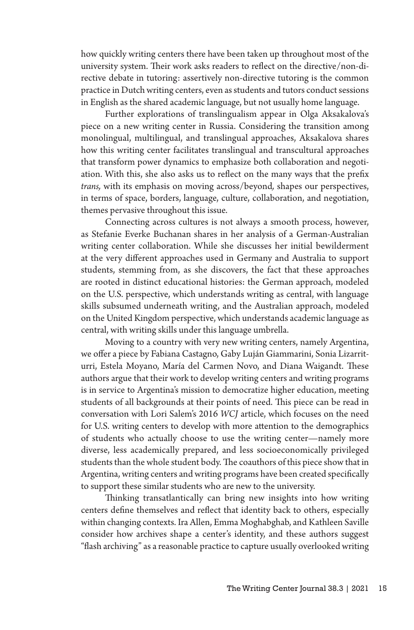how quickly writing centers there have been taken up throughout most of the university system. Their work asks readers to reflect on the directive/non-directive debate in tutoring: assertively non-directive tutoring is the common practice in Dutch writing centers, even as students and tutors conduct sessions in English as the shared academic language, but not usually home language.

Further explorations of translingualism appear in Olga Aksakalova's piece on a new writing center in Russia. Considering the transition among monolingual, multilingual, and translingual approaches, Aksakalova shares how this writing center facilitates translingual and transcultural approaches that transform power dynamics to emphasize both collaboration and negotiation. With this, she also asks us to reflect on the many ways that the prefix *trans,* with its emphasis on moving across/beyond*,* shapes our perspectives, in terms of space, borders, language, culture, collaboration, and negotiation, themes pervasive throughout this issue.

Connecting across cultures is not always a smooth process, however, as Stefanie Everke Buchanan shares in her analysis of a German-Australian writing center collaboration. While she discusses her initial bewilderment at the very different approaches used in Germany and Australia to support students, stemming from, as she discovers, the fact that these approaches are rooted in distinct educational histories: the German approach, modeled on the U.S. perspective, which understands writing as central, with language skills subsumed underneath writing, and the Australian approach, modeled on the United Kingdom perspective, which understands academic language as central, with writing skills under this language umbrella.

Moving to a country with very new writing centers, namely Argentina, we offer a piece by Fabiana Castagno, Gaby Luján Giammarini, Sonia Lizarriturri, Estela Moyano, María del Carmen Novo, and Diana Waigandt. These authors argue that their work to develop writing centers and writing programs is in service to Argentina's mission to democratize higher education, meeting students of all backgrounds at their points of need. This piece can be read in conversation with Lori Salem's 2016 *WCJ* article, which focuses on the need for U.S. writing centers to develop with more attention to the demographics of students who actually choose to use the writing center—namely more diverse, less academically prepared, and less socioeconomically privileged students than the whole student body. The coauthors of this piece show that in Argentina, writing centers and writing programs have been created specifically to support these similar students who are new to the university.

Thinking transatlantically can bring new insights into how writing centers define themselves and reflect that identity back to others, especially within changing contexts. Ira Allen, Emma Moghabghab, and Kathleen Saville consider how archives shape a center's identity, and these authors suggest "flash archiving" as a reasonable practice to capture usually overlooked writing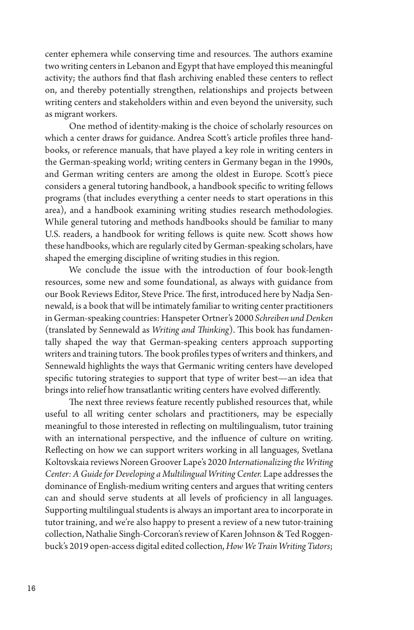center ephemera while conserving time and resources. The authors examine two writing centers in Lebanon and Egypt that have employed this meaningful activity; the authors find that flash archiving enabled these centers to reflect on, and thereby potentially strengthen, relationships and projects between writing centers and stakeholders within and even beyond the university, such as migrant workers.

One method of identity-making is the choice of scholarly resources on which a center draws for guidance. Andrea Scott's article profiles three handbooks, or reference manuals, that have played a key role in writing centers in the German-speaking world; writing centers in Germany began in the 1990s, and German writing centers are among the oldest in Europe. Scott's piece considers a general tutoring handbook, a handbook specific to writing fellows programs (that includes everything a center needs to start operations in this area), and a handbook examining writing studies research methodologies. While general tutoring and methods handbooks should be familiar to many U.S. readers, a handbook for writing fellows is quite new. Scott shows how these handbooks, which are regularly cited by German-speaking scholars, have shaped the emerging discipline of writing studies in this region.

We conclude the issue with the introduction of four book-length resources, some new and some foundational, as always with guidance from our Book Reviews Editor, Steve Price. The first, introduced here by Nadja Sennewald, is a book that will be intimately familiar to writing center practitioners in German-speaking countries: Hanspeter Ortner's 2000 *Schreiben und Denken*  (translated by Sennewald as *Writing and Thinking*). This book has fundamentally shaped the way that German-speaking centers approach supporting writers and training tutors. The book profiles types of writers and thinkers, and Sennewald highlights the ways that Germanic writing centers have developed specific tutoring strategies to support that type of writer best—an idea that brings into relief how transatlantic writing centers have evolved differently.

The next three reviews feature recently published resources that, while useful to all writing center scholars and practitioners, may be especially meaningful to those interested in reflecting on multilingualism, tutor training with an international perspective, and the influence of culture on writing. Reflecting on how we can support writers working in all languages, Svetlana Koltovskaia reviews Noreen Groover Lape's 2020 *Internationalizing the Writing Center: A Guide for Developing a Multilingual Writing Center.* Lape addresses the dominance of English-medium writing centers and argues that writing centers can and should serve students at all levels of proficiency in all languages. Supporting multilingual students is always an important area to incorporate in tutor training, and we're also happy to present a review of a new tutor-training collection, Nathalie Singh-Corcoran's review of Karen Johnson & Ted Roggenbuck's 2019 open-access digital edited collection, *How We Train Writing Tutors*;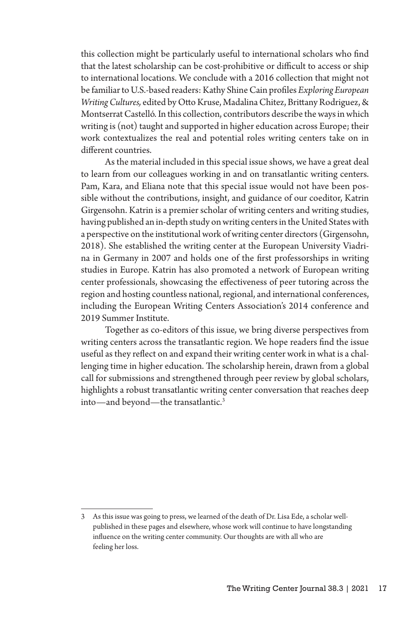this collection might be particularly useful to international scholars who find that the latest scholarship can be cost-prohibitive or difficult to access or ship to international locations. We conclude with a 2016 collection that might not be familiar to U.S.-based readers: Kathy Shine Cain profiles *Exploring European Writing Cultures,* edited by Otto Kruse, Madalina Chitez, Brittany Rodriguez, & Montserrat Castelló. In this collection, contributors describe the ways in which writing is (not) taught and supported in higher education across Europe; their work contextualizes the real and potential roles writing centers take on in different countries.

As the material included in this special issue shows, we have a great deal to learn from our colleagues working in and on transatlantic writing centers. Pam, Kara, and Eliana note that this special issue would not have been possible without the contributions, insight, and guidance of our coeditor, Katrin Girgensohn. Katrin is a premier scholar of writing centers and writing studies, having published an in-depth study on writing centers in the United States with a perspective on the institutional work of writing center directors (Girgensohn, 2018). She established the writing center at the European University Viadrina in Germany in 2007 and holds one of the first professorships in writing studies in Europe. Katrin has also promoted a network of European writing center professionals, showcasing the effectiveness of peer tutoring across the region and hosting countless national, regional, and international conferences, including the European Writing Centers Association's 2014 conference and 2019 Summer Institute.

Together as co-editors of this issue, we bring diverse perspectives from writing centers across the transatlantic region. We hope readers find the issue useful as they reflect on and expand their writing center work in what is a challenging time in higher education. The scholarship herein, drawn from a global call for submissions and strengthened through peer review by global scholars, highlights a robust transatlantic writing center conversation that reaches deep into—and beyond—the transatlantic.3

<sup>3</sup> As this issue was going to press, we learned of the death of Dr. Lisa Ede, a scholar wellpublished in these pages and elsewhere, whose work will continue to have longstanding influence on the writing center community. Our thoughts are with all who are feeling her loss.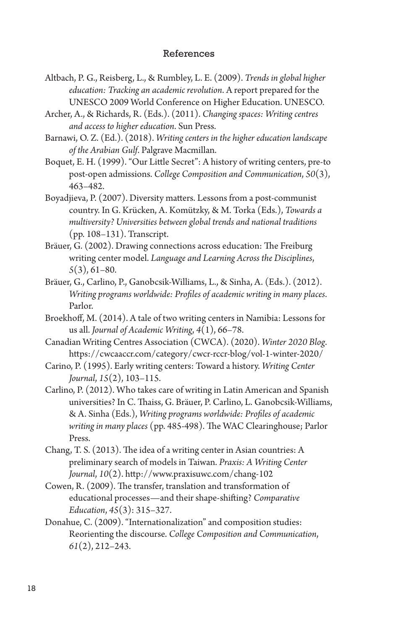## References

- Altbach, P. G., Reisberg, L., & Rumbley, L. E. (2009). *Trends in global higher education: Tracking an academic revolution*. A report prepared for the UNESCO 2009 World Conference on Higher Education. UNESCO.
- Archer, A., & Richards, R. (Eds.). (2011). *Changing spaces: Writing centres and access to higher education*. Sun Press.
- Barnawi, O. Z. (Ed.). (2018). *Writing centers in the higher education landscape of the Arabian Gulf*. Palgrave Macmillan.
- Boquet, E. H. (1999). "Our Little Secret": A history of writing centers, pre-to post-open admissions. *College Composition and Communication*, *50*(3), 463–482.
- Boyadjieva, P. (2007). Diversity matters. Lessons from a post-communist country. In G. Krücken, A. Komützky, & M. Torka (Eds.), *Towards a multiversity? Universities between global trends and national traditions*  (pp. 108–131). Transcript.
- Bräuer, G. (2002). Drawing connections across education: The Freiburg writing center model. *Language and Learning Across the Disciplines*, *5*(3), 61–80.
- Bräuer, G., Carlino, P., Ganobcsik-Williams, L., & Sinha, A. (Eds.). (2012). *Writing programs worldwide: Profiles of academic writing in many places*. Parlor.
- Broekhoff, M. (2014). A tale of two writing centers in Namibia: Lessons for us all. *Journal of Academic Writing*, *4*(1), 66–78.
- Canadian Writing Centres Association (CWCA). (2020). *Winter 2020 Blog*. https://cwcaaccr.com/category/cwcr-rccr-blog/vol-1-winter-2020/
- Carino, P. (1995). Early writing centers: Toward a history. *Writing Center Journal*, *15*(2), 103–115.
- Carlino, P. (2012). Who takes care of writing in Latin American and Spanish universities? In C. Thaiss, G. Bräuer, P. Carlino, L. Ganobcsik-Williams, & A. Sinha (Eds.), *Writing programs worldwide: Profiles of academic writing in many places* (pp. 485-498). The WAC Clearinghouse; Parlor Press.
- Chang, T. S. (2013). The idea of a writing center in Asian countries: A preliminary search of models in Taiwan. *Praxis: A Writing Center Journal*, *10*(2). http://www.praxisuwc.com/chang-102
- Cowen, R. (2009). The transfer, translation and transformation of educational processes—and their shape-shifting? *Comparative Education*, *45*(3): 315–327.
- Donahue, C. (2009). "Internationalization" and composition studies: Reorienting the discourse. *College Composition and Communication*, *61*(2), 212–243.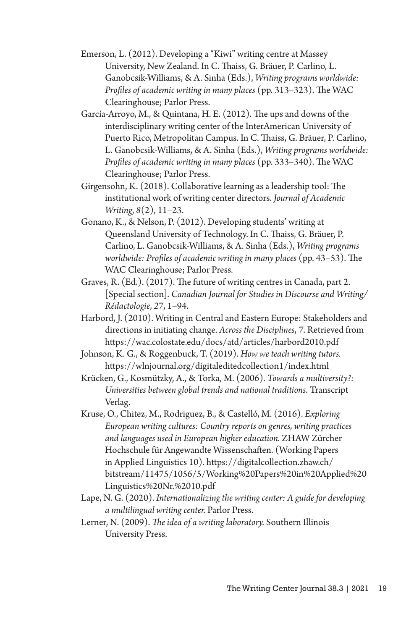- Emerson, L. (2012). Developing a "Kiwi" writing centre at Massey University, New Zealand. In C. Thaiss, G. Bräuer, P. Carlino, L. Ganobcsik-Williams, & A. Sinha (Eds.), *Writing programs worldwide: Profiles of academic writing in many places* (pp. 313–323). The WAC Clearinghouse; Parlor Press.
- García-Arroyo, M., & Quintana, H. E. (2012). The ups and downs of the interdisciplinary writing center of the InterAmerican University of Puerto Rico, Metropolitan Campus. In C. Thaiss, G. Bräuer, P. Carlino, L. Ganobcsik-Williams, & A. Sinha (Eds.), *Writing programs worldwide: Profiles of academic writing in many places* (pp. 333–340). The WAC Clearinghouse; Parlor Press.
- Girgensohn, K. (2018). Collaborative learning as a leadership tool: The institutional work of writing center directors. *Journal of Academic Writing*, *8*(2), 11–23.
- Gonano, K., & Nelson, P. (2012). Developing students' writing at Queensland University of Technology. In C. Thaiss, G. Bräuer, P. Carlino, L. Ganobcsik-Williams, & A. Sinha (Eds.), *Writing programs worldwide: Profiles of academic writing in many places* (pp. 43–53). The WAC Clearinghouse; Parlor Press.
- Graves, R. (Ed.). (2017). The future of writing centres in Canada, part 2. [Special section]. *Canadian Journal for Studies in Discourse and Writing/ Rédactologie*, *27*, 1–94.
- Harbord, J. (2010). Writing in Central and Eastern Europe: Stakeholders and directions in initiating change. *Across the Disciplines*, *7*. Retrieved from https://wac.colostate.edu/docs/atd/articles/harbord2010.pdf
- Johnson, K. G., & Roggenbuck, T. (2019). *How we teach writing tutors.*  https://wlnjournal.org/digitaleditedcollection1/index.html
- Krücken, G., Kosmützky, A., & Torka, M. (2006). *Towards a multiversity?: Universities between global trends and national traditions*. Transcript Verlag.
- Kruse, O., Chitez, M., Rodriguez, B., & Castelló, M. (2016). *Exploring European writing cultures: Country reports on genres, writing practices and languages used in European higher education.* ZHAW Zürcher Hochschule für Angewandte Wissenschaften. (Working Papers in Applied Linguistics 10). https://digitalcollection.zhaw.ch/ bitstream/11475/1056/5/Working%20Papers%20in%20Applied%20 Linguistics%20Nr.%2010.pdf
- Lape, N. G. (2020). *Internationalizing the writing center: A guide for developing a multilingual writing center.* Parlor Press.
- Lerner, N. (2009). *The idea of a writing laboratory.* Southern Illinois University Press.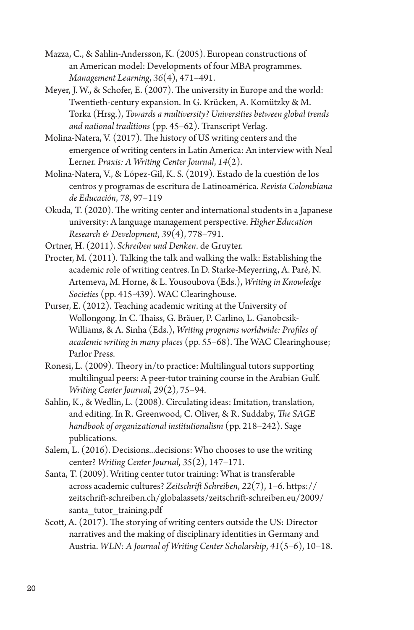- Mazza, C., & Sahlin-Andersson, K. (2005). European constructions of an American model: Developments of four MBA programmes. *Management Learning*, *36*(4), 471–491.
- Meyer, J. W., & Schofer, E. (2007). The university in Europe and the world: Twentieth-century expansion. In G. Krücken, A. Komützky & M. Torka (Hrsg.), *Towards a multiversity? Universities between global trends and national traditions* (pp. 45–62). Transcript Verlag.
- Molina-Natera, V. (2017). The history of US writing centers and the emergence of writing centers in Latin America: An interview with Neal Lerner. *Praxis: A Writing Center Journal*, *14*(2).
- Molina-Natera, V., & López-Gil, K. S. (2019). Estado de la cuestión de los centros y programas de escritura de Latinoamérica. *Revista Colombiana de Educación*, *78*, 97–119
- Okuda, T. (2020). The writing center and international students in a Japanese university: A language management perspective. *Higher Education Research & Development*, *39*(4), 778–791.
- Ortner, H. (2011). *Schreiben und Denken*. de Gruyter.
- Procter, M. (2011). Talking the talk and walking the walk: Establishing the academic role of writing centres. In D. Starke-Meyerring, A. Paré, N. Artemeva, M. Horne, & L. Yousoubova (Eds.), *Writing in Knowledge Societies* (pp. 415-439). WAC Clearinghouse.
- Purser, E. (2012). Teaching academic writing at the University of Wollongong. In C. Thaiss, G. Bräuer, P. Carlino, L. Ganobcsik-Williams, & A. Sinha (Eds.), *Writing programs worldwide: Profiles of academic writing in many places* (pp. 55–68). The WAC Clearinghouse; Parlor Press.
- Ronesi, L. (2009). Theory in/to practice: Multilingual tutors supporting multilingual peers: A peer-tutor training course in the Arabian Gulf. *Writing Center Journal*, *29*(2), 75–94.
- Sahlin, K., & Wedlin, L. (2008). Circulating ideas: Imitation, translation, and editing. In R. Greenwood, C. Oliver, & R. Suddaby, *The SAGE handbook of organizational institutionalism* (pp. 218–242). Sage publications.
- Salem, L. (2016). Decisions...decisions: Who chooses to use the writing center? *Writing Center Journal*, *35*(2), 147–171.
- Santa, T. (2009). Writing center tutor training: What is transferable across academic cultures? *Zeitschrift Schreiben*, *22*(7), 1–6. https:// zeitschrift-schreiben.ch/globalassets/zeitschrift-schreiben.eu/2009/ santa tutor training.pdf
- Scott, A. (2017). The storying of writing centers outside the US: Director narratives and the making of disciplinary identities in Germany and Austria. *WLN: A Journal of Writing Center Scholarship*, *41*(5–6), 10–18.